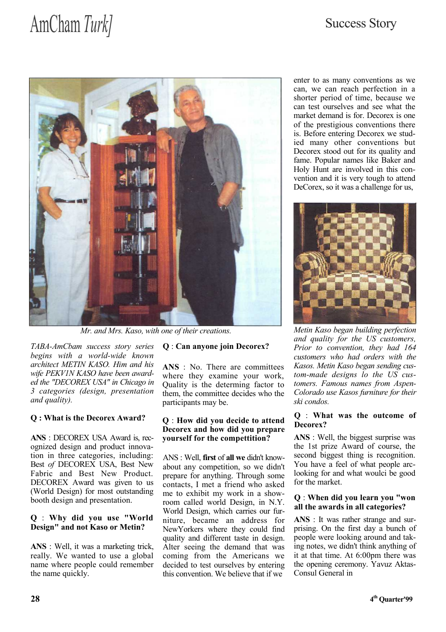# AmCham Turk] Success Story



Mr. and Mrs. Kaso, with one of their creations.

TABA-AmCbam success story series begins with a world-wide known architect METIN KASO. Him and his wife PEKV1N KASO have been awarded the "DECOREX USA" in Chicago in 3 categories (design, presentation and quality).

# Q : What is the Decorex Award?

ANS : DECOREX USA Award is, recognized design and product innovation in three categories, including: Best of DECOREX USA, Best New Fabric and Best New Product. DECOREX Award was given to us (World Design) for most outstanding booth design and presentation.

### Q : Why did you use "World Design" and not Kaso or Metin?

ANS : Well, it was a marketing trick, really. We wanted to use a global name where people could remember the name quickly.

### Q : Can anyone join Decorex?

ANS : No. There are committees where they examine your work, Quality is the determing factor to them, the committee decides who the participants may be.

### Q : How did you decide to attend Decorex and how did you prepare yourself for the compettition?

ANS : Well, first of all we didn't knowabout any competition, so we didn't prepare for anything. Through some contacts, I met a friend who asked me to exhibit my work in a showroom called world Design, in N.Y. World Design, which carries our furniture, became an address for NewYorkers where they could find quality and different taste in design. Alter seeing the demand that was coming from the Americans we decided to test ourselves by entering this convention. We believe that if we

enter to as many conventions as we can, we can reach perfection in a shorter period of time, because we can test ourselves and see what the market demand is for. Decorex is one of the prestigious conventions there is. Before entering Decorex we studied many other conventions but Decorex stood out for its quality and fame. Popular names like Baker and Holy Hunt are involved in this convention and it is very tough to attend DeCorex, so it was a challenge for us,



Metin Kaso began building perfection and quality for the US customers, Prior to convention, they had 164 customers who had orders with the Kasos. Metin Kaso began sending custom-made designs lo the US customers. Famous names from Aspen-Colorado use Kasos furniture for their ski condos.

### Q : What was the outcome of Decorex?

ANS : Well, the biggest surprise was the 1st prize Award of course, the second biggest thing is recognition. You have a feel of what people arclooking for and what woulci be good for the market.

#### Q : When did you learn you "won all the awards in all categories?

ANS : It was rather strange and surprising. On the first day a bunch of people were looking around and taking notes, we didn't think anything of it at that time. At 6:00pm there was the opening ceremony. Yavuz Aktas-Consul General in